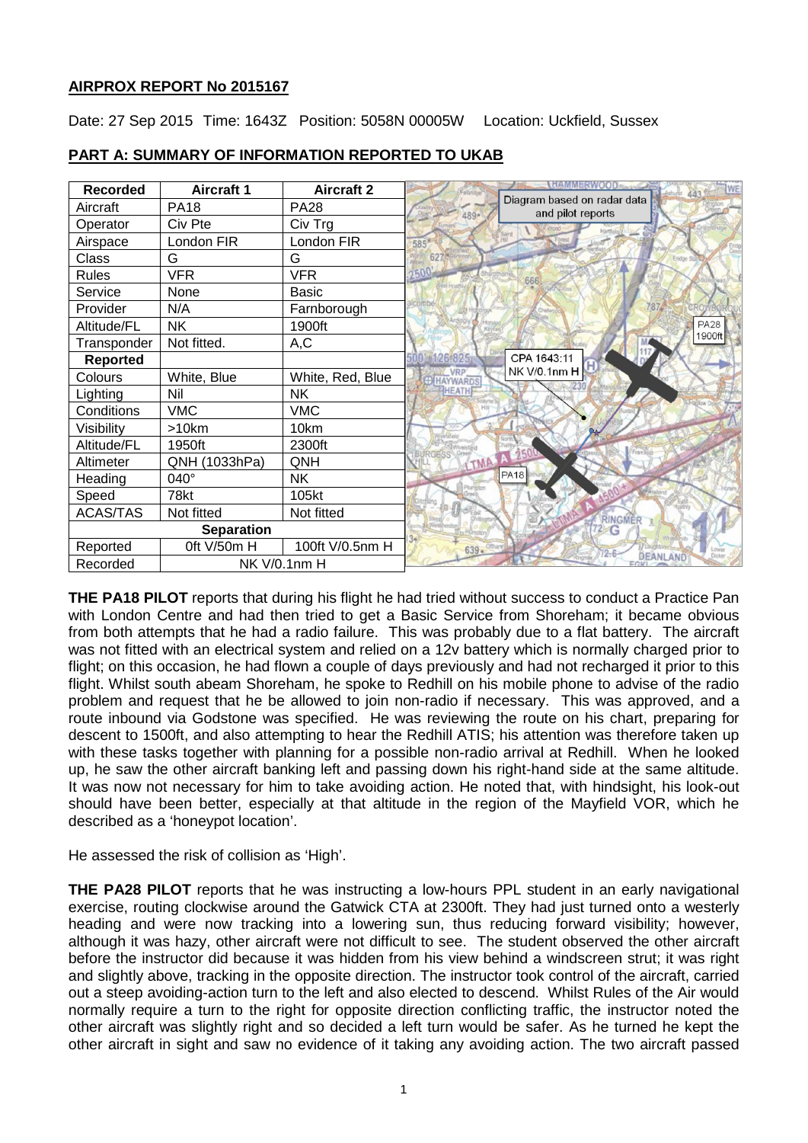# **AIRPROX REPORT No 2015167**

Date: 27 Sep 2015 Time: 1643Z Position: 5058N 00005W Location: Uckfield, Sussex

| <b>Recorded</b>   | <b>Aircraft 1</b>   | <b>Aircraft 2</b> |                                                          |
|-------------------|---------------------|-------------------|----------------------------------------------------------|
| Aircraft          | <b>PA18</b>         | <b>PA28</b>       | Diagram based on radar data<br>and pilot reports<br>489. |
| Operator          | Civ Pte             | Civ Trg           |                                                          |
| Airspace          | London FIR          | London FIR        | 585                                                      |
| Class             | G                   | G                 | Enidge                                                   |
| <b>Rules</b>      | <b>VFR</b>          | <b>VFR</b>        | 2500<br>666                                              |
| Service           | None                | Basic             |                                                          |
| Provider          | N/A                 | Farnborough       | 787                                                      |
| Altitude/FL       | <b>NK</b>           | 1900ft            | <b>PA28</b>                                              |
| Transponder       | Not fitted.         | A,C               | 1900ft                                                   |
| Reported          |                     |                   | CPA 1643:11                                              |
| Colours           | White, Blue         | White, Red, Blue  | NK V/0.1nm H<br>VRP<br><b>HAYWARDS</b>                   |
| Lighting          | Nil                 | NΚ                | HEATH                                                    |
| Conditions        | <b>VMC</b>          | <b>VMC</b>        |                                                          |
| Visibility        | >10km               | 10km              |                                                          |
| Altitude/FL       | 1950ft              | 2300ft            |                                                          |
| Altimeter         | QNH (1033hPa)       | QNH               | LTMA                                                     |
| Heading           | 040°                | <b>NK</b>         | <b>PA18</b>                                              |
| Speed             | 78kt                | 105kt             |                                                          |
| <b>ACAS/TAS</b>   | Not fitted          | Not fitted        | RINGMER                                                  |
| <b>Separation</b> |                     |                   |                                                          |
| Reported          | Oft V/50m H         | 100ft V/0.5nm H   | $639 -$<br>Lower<br>Dicke                                |
| Recorded          | <b>NK V/0.1nm H</b> |                   | <b>DEANLAND</b>                                          |

# **PART A: SUMMARY OF INFORMATION REPORTED TO UKAB**

**THE PA18 PILOT** reports that during his flight he had tried without success to conduct a Practice Pan with London Centre and had then tried to get a Basic Service from Shoreham; it became obvious from both attempts that he had a radio failure. This was probably due to a flat battery. The aircraft was not fitted with an electrical system and relied on a 12v battery which is normally charged prior to flight; on this occasion, he had flown a couple of days previously and had not recharged it prior to this flight. Whilst south abeam Shoreham, he spoke to Redhill on his mobile phone to advise of the radio problem and request that he be allowed to join non-radio if necessary. This was approved, and a route inbound via Godstone was specified. He was reviewing the route on his chart, preparing for descent to 1500ft, and also attempting to hear the Redhill ATIS; his attention was therefore taken up with these tasks together with planning for a possible non-radio arrival at Redhill. When he looked up, he saw the other aircraft banking left and passing down his right-hand side at the same altitude. It was now not necessary for him to take avoiding action. He noted that, with hindsight, his look-out should have been better, especially at that altitude in the region of the Mayfield VOR, which he described as a 'honeypot location'.

He assessed the risk of collision as 'High'.

**THE PA28 PILOT** reports that he was instructing a low-hours PPL student in an early navigational exercise, routing clockwise around the Gatwick CTA at 2300ft. They had just turned onto a westerly heading and were now tracking into a lowering sun, thus reducing forward visibility; however, although it was hazy, other aircraft were not difficult to see. The student observed the other aircraft before the instructor did because it was hidden from his view behind a windscreen strut; it was right and slightly above, tracking in the opposite direction. The instructor took control of the aircraft, carried out a steep avoiding-action turn to the left and also elected to descend. Whilst Rules of the Air would normally require a turn to the right for opposite direction conflicting traffic, the instructor noted the other aircraft was slightly right and so decided a left turn would be safer. As he turned he kept the other aircraft in sight and saw no evidence of it taking any avoiding action. The two aircraft passed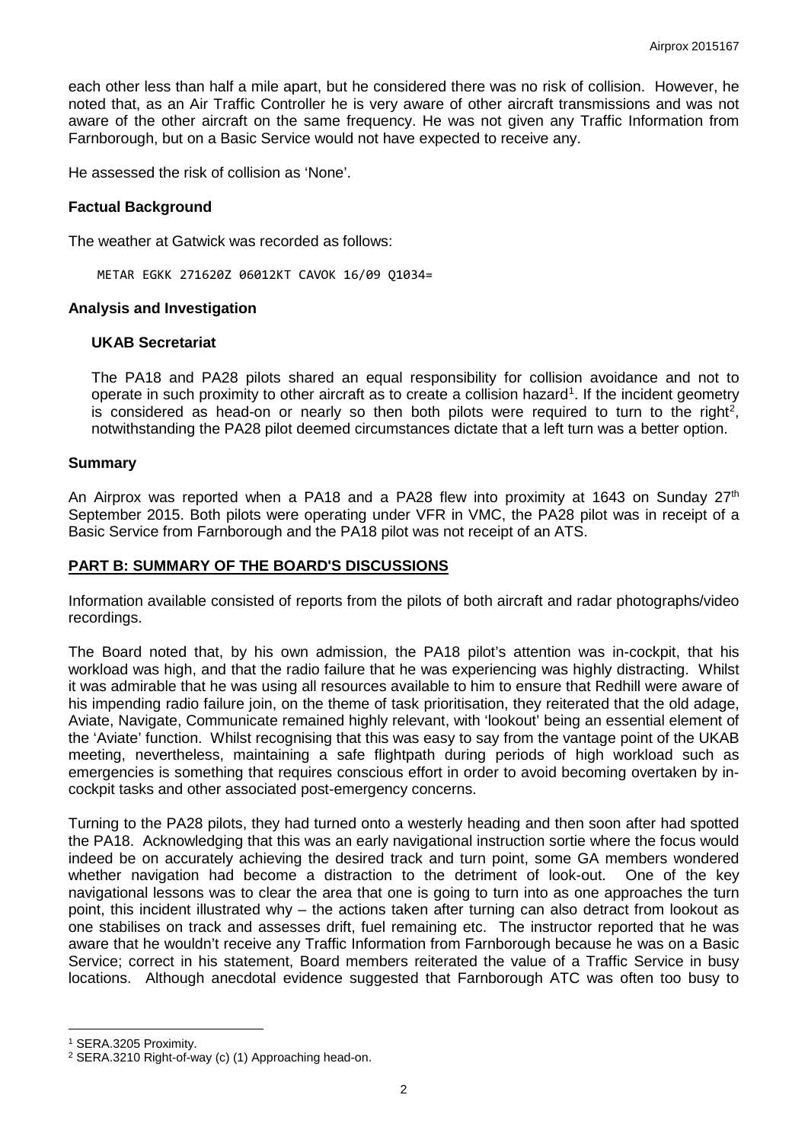each other less than half a mile apart, but he considered there was no risk of collision. However, he noted that, as an Air Traffic Controller he is very aware of other aircraft transmissions and was not aware of the other aircraft on the same frequency. He was not given any Traffic Information from Farnborough, but on a Basic Service would not have expected to receive any.

He assessed the risk of collision as 'None'.

### **Factual Background**

The weather at Gatwick was recorded as follows:

METAR EGKK 271620Z 06012KT CAVOK 16/09 Q1034=

#### **Analysis and Investigation**

#### **UKAB Secretariat**

The PA18 and PA28 pilots shared an equal responsibility for collision avoidance and not to operate in such proximity to other aircraft as to create a collision hazard<sup>[1](#page-1-0)</sup>. If the incident geometry is considered as head-on or nearly so then both pilots were required to turn to the right<sup>[2](#page-1-1)</sup>, notwithstanding the PA28 pilot deemed circumstances dictate that a left turn was a better option.

#### **Summary**

An Airprox was reported when a PA18 and a PA28 flew into proximity at 1643 on Sunday  $27<sup>th</sup>$ September 2015. Both pilots were operating under VFR in VMC, the PA28 pilot was in receipt of a Basic Service from Farnborough and the PA18 pilot was not receipt of an ATS.

### **PART B: SUMMARY OF THE BOARD'S DISCUSSIONS**

Information available consisted of reports from the pilots of both aircraft and radar photographs/video recordings.

The Board noted that, by his own admission, the PA18 pilot's attention was in-cockpit, that his workload was high, and that the radio failure that he was experiencing was highly distracting. Whilst it was admirable that he was using all resources available to him to ensure that Redhill were aware of his impending radio failure join, on the theme of task prioritisation, they reiterated that the old adage, Aviate, Navigate, Communicate remained highly relevant, with 'lookout' being an essential element of the 'Aviate' function. Whilst recognising that this was easy to say from the vantage point of the UKAB meeting, nevertheless, maintaining a safe flightpath during periods of high workload such as emergencies is something that requires conscious effort in order to avoid becoming overtaken by incockpit tasks and other associated post-emergency concerns.

Turning to the PA28 pilots, they had turned onto a westerly heading and then soon after had spotted the PA18. Acknowledging that this was an early navigational instruction sortie where the focus would indeed be on accurately achieving the desired track and turn point, some GA members wondered whether navigation had become a distraction to the detriment of look-out. One of the key navigational lessons was to clear the area that one is going to turn into as one approaches the turn point, this incident illustrated why – the actions taken after turning can also detract from lookout as one stabilises on track and assesses drift, fuel remaining etc. The instructor reported that he was aware that he wouldn't receive any Traffic Information from Farnborough because he was on a Basic Service; correct in his statement, Board members reiterated the value of a Traffic Service in busy locations. Although anecdotal evidence suggested that Farnborough ATC was often too busy to

l

<span id="page-1-0"></span><sup>1</sup> SERA.3205 Proximity.

<span id="page-1-1"></span><sup>2</sup> SERA.3210 Right-of-way (c) (1) Approaching head-on.